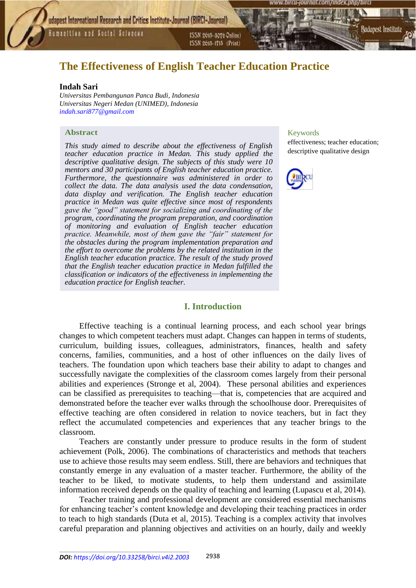Humanities and Social Sciences

ISSN 2015-3070 Online) ISSN 2615-1715 (Print)

# **The Effectiveness of English Teacher Education Practice**

#### **Indah Sari**

*Universitas Pembangunan Panca Budi, Indonesia Universitas Negeri Medan (UNIMED), Indonesia [indah.sari877@gmail.com](mailto:indah.sari877@gmail.com)*

#### **Abstract**

*This study aimed to describe about the effectiveness of English teacher education practice in Medan. This study applied the descriptive qualitative design. The subjects of this study were 10 mentors and 30 participants of English teacher education practice. Furthermore, the questionnaire was administered in order to collect the data. The data analysis used the data condensation, data display and verification. The English teacher education practice in Medan was quite effective since most of respondents gave the "good" statement for socializing and coordinating of the program, coordinating the program preparation, and coordination of monitoring and evaluation of English teacher education practice. Meanwhile, most of them gave the "fair" statement for the obstacles during the program implementation preparation and the effort to overcome the problems by the related institution in the English teacher education practice. The result of the study proved that the English teacher education practice in Medan fulfilled the classification or indicators of the effectiveness in implementing the education practice for English teacher.*

### **I. Introduction**

Effective teaching is a continual learning process, and each school year brings changes to which competent teachers must adapt. Changes can happen in terms of students, curriculum, building issues, colleagues, administrators, finances, health and safety concerns, families, communities, and a host of other influences on the daily lives of teachers. The foundation upon which teachers base their ability to adapt to changes and successfully navigate the complexities of the classroom comes largely from their personal abilities and experiences (Stronge et al, 2004). These personal abilities and experiences can be classified as prerequisites to teaching—that is, competencies that are acquired and demonstrated before the teacher ever walks through the schoolhouse door. Prerequisites of effective teaching are often considered in relation to novice teachers, but in fact they reflect the accumulated competencies and experiences that any teacher brings to the classroom.

Teachers are constantly under pressure to produce results in the form of student achievement (Polk, 2006). The combinations of characteristics and methods that teachers use to achieve those results may seem endless. Still, there are behaviors and techniques that constantly emerge in any evaluation of a master teacher. Furthermore, the ability of the teacher to be liked, to motivate students, to help them understand and assimilate information received depends on the quality of teaching and learning (Lupascu et al, 2014).

Teacher training and professional development are considered essential mechanisms for enhancing teacher's content knowledge and developing their teaching practices in order to teach to high standards (Duta et al, 2015). Teaching is a complex activity that involves careful preparation and planning objectives and activities on an hourly, daily and weekly

# Keywords

effectiveness; teacher education; descriptive qualitative design

3udapest Institute



\_\_\_\_\_\_\_\_\_\_\_\_\_\_\_\_\_\_\_\_\_\_\_\_\_\_\_\_\_\_\_\_\_\_\_\_\_\_\_\_\_\_\_\_\_\_\_\_\_\_\_\_\_\_\_\_\_\_\_\_\_\_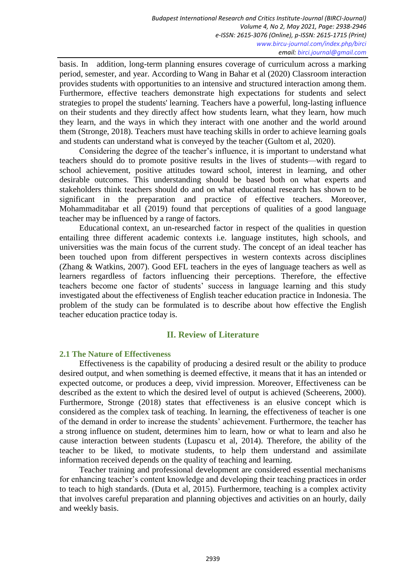basis. In addition, long-term planning ensures coverage of curriculum across a marking period, semester, and year. According to Wang in Bahar et al (2020) Classroom interaction provides students with opportunities to an intensive and structured interaction among them. Furthermore, effective teachers demonstrate high expectations for students and select strategies to propel the students' learning. Teachers have a powerful, long-lasting influence on their students and they directly affect how students learn, what they learn, how much they learn, and the ways in which they interact with one another and the world around them (Stronge, 2018). Teachers must have teaching skills in order to achieve learning goals and students can understand what is conveyed by the teacher (Gultom et al, 2020).

Considering the degree of the teacher's influence, it is important to understand what teachers should do to promote positive results in the lives of students—with regard to school achievement, positive attitudes toward school, interest in learning, and other desirable outcomes. This understanding should be based both on what experts and stakeholders think teachers should do and on what educational research has shown to be significant in the preparation and practice of effective teachers. Moreover, Mohammaditabar et all (2019) found that perceptions of qualities of a good language teacher may be influenced by a range of factors.

Educational context, an un-researched factor in respect of the qualities in question entailing three different academic contexts i.e. language institutes, high schools, and universities was the main focus of the current study. The concept of an ideal teacher has been touched upon from different perspectives in western contexts across disciplines (Zhang & Watkins, 2007). Good EFL teachers in the eyes of language teachers as well as learners regardless of factors influencing their perceptions. Therefore, the effective teachers become one factor of students' success in language learning and this study investigated about the effectiveness of English teacher education practice in Indonesia. The problem of the study can be formulated is to describe about how effective the English teacher education practice today is.

# **II. Review of Literature**

# **2.1 The Nature of Effectiveness**

Effectiveness is the capability of producing a desired result or the ability to produce desired output, and when something is deemed effective, it means that it has an intended or expected outcome, or produces a deep, vivid impression. Moreover, Effectiveness can be described as the extent to which the desired level of output is achieved (Scheerens, 2000). Furthermore, Stronge (2018) states that effectiveness is an elusive concept which is considered as the complex task of teaching. In learning, the effectiveness of teacher is one of the demand in order to increase the students' achievement. Furthermore, the teacher has a strong influence on student, determines him to learn, how or what to learn and also he cause interaction between students (Lupascu et al, 2014). Therefore, the ability of the teacher to be liked, to motivate students, to help them understand and assimilate information received depends on the quality of teaching and learning.

Teacher training and professional development are considered essential mechanisms for enhancing teacher's content knowledge and developing their teaching practices in order to teach to high standards. (Duta et al, 2015). Furthermore, teaching is a complex activity that involves careful preparation and planning objectives and activities on an hourly, daily and weekly basis.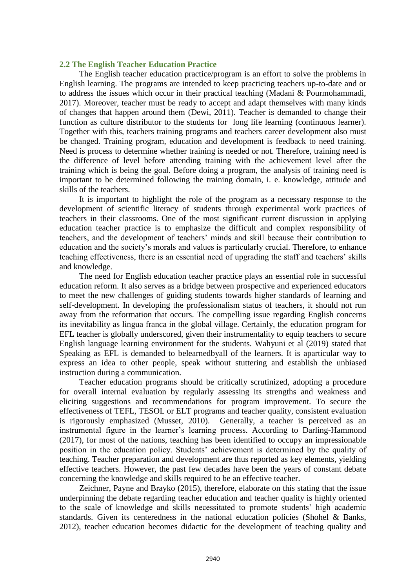#### **2.2 The English Teacher Education Practice**

The English teacher education practice/program is an effort to solve the problems in English learning. The programs are intended to keep practicing teachers up-to-date and or to address the issues which occur in their practical teaching (Madani & Pourmohammadi, 2017). Moreover, teacher must be ready to accept and adapt themselves with many kinds of changes that happen around them (Dewi, 2011). Teacher is demanded to change their function as culture distributor to the students for long life learning (continuous learner). Together with this, teachers training programs and teachers career development also must be changed. Training program, education and development is feedback to need training. Need is process to determine whether training is needed or not. Therefore, training need is the difference of level before attending training with the achievement level after the training which is being the goal. Before doing a program, the analysis of training need is important to be determined following the training domain, i. e. knowledge, attitude and skills of the teachers.

It is important to highlight the role of the program as a necessary response to the development of scientific literacy of students through experimental work practices of teachers in their classrooms. One of the most significant current discussion in applying education teacher practice is to emphasize the difficult and complex responsibility of teachers, and the development of teachers' minds and skill because their contribution to education and the society's morals and values is particularly crucial. Therefore, to enhance teaching effectiveness, there is an essential need of upgrading the staff and teachers' skills and knowledge.

The need for English education teacher practice plays an essential role in successful education reform. It also serves as a bridge between prospective and experienced educators to meet the new challenges of guiding students towards higher standards of learning and self-development. In developing the professionalism status of teachers, it should not run away from the reformation that occurs. The compelling issue regarding English concerns its inevitability as lingua franca in the global village. Certainly, the education program for EFL teacher is globally underscored, given their instrumentality to equip teachers to secure English language learning environment for the students. Wahyuni et al (2019) stated that Speaking as EFL is demanded to belearnedbyall of the learners. It is aparticular way to express an idea to other people, speak without stuttering and establish the unbiased instruction during a communication.

Teacher education programs should be critically scrutinized, adopting a procedure for overall internal evaluation by regularly assessing its strengths and weakness and eliciting suggestions and recommendations for program improvement. To secure the effectiveness of TEFL, TESOL or ELT programs and teacher quality, consistent evaluation is rigorously emphasized (Musset, 2010). Generally, a teacher is perceived as an instrumental figure in the learner's learning process. According to Darling-Hammond (2017), for most of the nations, teaching has been identified to occupy an impressionable position in the education policy. Students' achievement is determined by the quality of teaching. Teacher preparation and development are thus reported as key elements, yielding effective teachers. However, the past few decades have been the years of constant debate concerning the knowledge and skills required to be an effective teacher.

Zeichner, Payne and Brayko (2015), therefore, elaborate on this stating that the issue underpinning the debate regarding teacher education and teacher quality is highly oriented to the scale of knowledge and skills necessitated to promote students' high academic standards. Given its centeredness in the national education policies (Shohel & Banks, 2012), teacher education becomes didactic for the development of teaching quality and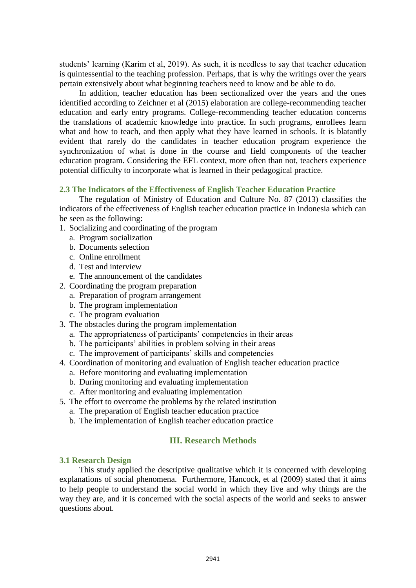students' learning (Karim et al, 2019). As such, it is needless to say that teacher education is quintessential to the teaching profession. Perhaps, that is why the writings over the years pertain extensively about what beginning teachers need to know and be able to do.

In addition, teacher education has been sectionalized over the years and the ones identified according to Zeichner et al (2015) elaboration are college-recommending teacher education and early entry programs. College-recommending teacher education concerns the translations of academic knowledge into practice. In such programs, enrollees learn what and how to teach, and then apply what they have learned in schools. It is blatantly evident that rarely do the candidates in teacher education program experience the synchronization of what is done in the course and field components of the teacher education program. Considering the EFL context, more often than not, teachers experience potential difficulty to incorporate what is learned in their pedagogical practice.

# **2.3 The Indicators of the Effectiveness of English Teacher Education Practice**

The regulation of Ministry of Education and Culture No. 87 (2013) classifies the indicators of the effectiveness of English teacher education practice in Indonesia which can be seen as the following:

- 1. Socializing and coordinating of the program
	- a. Program socialization
	- b. Documents selection
	- c. Online enrollment
	- d. Test and interview
	- e. The announcement of the candidates
- 2. Coordinating the program preparation
	- a. Preparation of program arrangement
	- b. The program implementation
	- c. The program evaluation
- 3. The obstacles during the program implementation
	- a. The appropriateness of participants' competencies in their areas
	- b. The participants' abilities in problem solving in their areas
	- c. The improvement of participants' skills and competencies
- 4. Coordination of monitoring and evaluation of English teacher education practice
	- a. Before monitoring and evaluating implementation
	- b. During monitoring and evaluating implementation
	- c. After monitoring and evaluating implementation
- 5. The effort to overcome the problems by the related institution
	- a. The preparation of English teacher education practice
	- b. The implementation of English teacher education practice

# **III. Research Methods**

# **3.1 Research Design**

This study applied the descriptive qualitative which it is concerned with developing explanations of social phenomena. Furthermore, Hancock, et al (2009) stated that it aims to help people to understand the social world in which they live and why things are the way they are, and it is concerned with the social aspects of the world and seeks to answer questions about.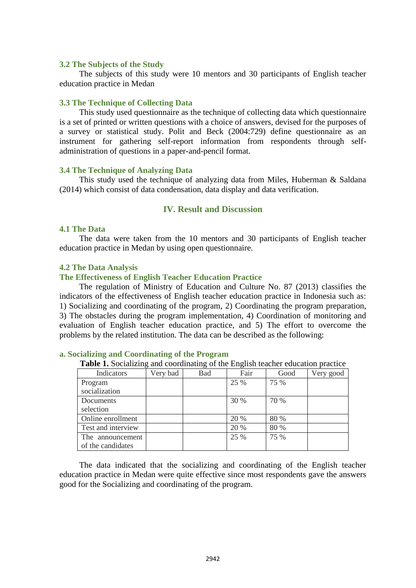#### **3.2 The Subjects of the Study**

The subjects of this study were 10 mentors and 30 participants of English teacher education practice in Medan

#### **3.3 The Technique of Collecting Data**

This study used questionnaire as the technique of collecting data which questionnaire is a set of printed or written questions with a choice of answers, devised for the purposes of a survey or statistical study. Polit and Beck (2004:729) define questionnaire as an instrument for gathering self-report information from respondents through selfadministration of questions in a paper-and-pencil format.

#### **3.4 The Technique of Analyzing Data**

This study used the technique of analyzing data from Miles, Huberman & Saldana (2014) which consist of data condensation, data display and data verification.

## **IV. Result and Discussion**

#### **4.1 The Data**

The data were taken from the 10 mentors and 30 participants of English teacher education practice in Medan by using open questionnaire.

#### **4.2 The Data Analysis**

#### **The Effectiveness of English Teacher Education Practice**

The regulation of Ministry of Education and Culture No. 87 (2013) classifies the indicators of the effectiveness of English teacher education practice in Indonesia such as: 1) Socializing and coordinating of the program, 2) Coordinating the program preparation, 3) The obstacles during the program implementation, 4) Coordination of monitoring and evaluation of English teacher education practice, and 5) The effort to overcome the problems by the related institution. The data can be described as the following:

| <b>Table 1.</b> Socializing and coordinating of the English teacher education practice |          |     |      |      |           |
|----------------------------------------------------------------------------------------|----------|-----|------|------|-----------|
| Indicators                                                                             | Very bad | Bad | Fair | Good | Very good |
| Program                                                                                |          |     | 25 % | 75 % |           |
| socialization                                                                          |          |     |      |      |           |
| Documents                                                                              |          |     | 30 % | 70 % |           |
| selection                                                                              |          |     |      |      |           |
| Online enrollment                                                                      |          |     | 20 % | 80 % |           |
| Test and interview                                                                     |          |     | 20 % | 80 % |           |
| The announcement                                                                       |          |     | 25 % | 75 % |           |
| of the candidates                                                                      |          |     |      |      |           |

#### **a. Socializing and Coordinating of the Program**

The data indicated that the socializing and coordinating of the English teacher education practice in Medan were quite effective since most respondents gave the answers good for the Socializing and coordinating of the program.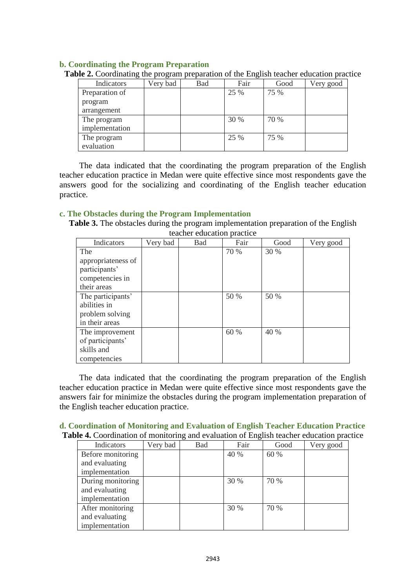# **b. Coordinating the Program Preparation**

| Indicators     | Very bad | Bad | Fair | Good | Very good |
|----------------|----------|-----|------|------|-----------|
| Preparation of |          |     | 25 % | 75 % |           |
| program        |          |     |      |      |           |
| arrangement    |          |     |      |      |           |
| The program    |          |     | 30 % | 70 % |           |
| implementation |          |     |      |      |           |
| The program    |          |     | 25 % | 75 % |           |
| evaluation     |          |     |      |      |           |

**Table 2.** Coordinating the program preparation of the English teacher education practice

The data indicated that the coordinating the program preparation of the English teacher education practice in Medan were quite effective since most respondents gave the answers good for the socializing and coordinating of the English teacher education practice.

## **c. The Obstacles during the Program Implementation**

**Table 3.** The obstacles during the program implementation preparation of the English teacher education practice

| Indicators         | Very bad | <b>Bad</b> | Fair | Good | Very good |
|--------------------|----------|------------|------|------|-----------|
| The                |          |            | 70 % | 30 % |           |
| appropriateness of |          |            |      |      |           |
| participants'      |          |            |      |      |           |
| competencies in    |          |            |      |      |           |
| their areas        |          |            |      |      |           |
| The participants'  |          |            | 50 % | 50 % |           |
| abilities in       |          |            |      |      |           |
| problem solving    |          |            |      |      |           |
| in their areas     |          |            |      |      |           |
| The improvement    |          |            | 60 % | 40 % |           |
| of participants'   |          |            |      |      |           |
| skills and         |          |            |      |      |           |
| competencies       |          |            |      |      |           |

The data indicated that the coordinating the program preparation of the English teacher education practice in Medan were quite effective since most respondents gave the answers fair for minimize the obstacles during the program implementation preparation of the English teacher education practice.

| d. Coordination of Monitoring and Evaluation of English Teacher Education Practice              |  |
|-------------------------------------------------------------------------------------------------|--|
| <b>Table 4.</b> Coordination of monitoring and evaluation of English teacher education practice |  |

| Indicators        | Very bad | Bad | Fair | Good | Very good |
|-------------------|----------|-----|------|------|-----------|
| Before monitoring |          |     | 40 % | 60 % |           |
| and evaluating    |          |     |      |      |           |
| implementation    |          |     |      |      |           |
| During monitoring |          |     | 30 % | 70 % |           |
| and evaluating    |          |     |      |      |           |
| implementation    |          |     |      |      |           |
| After monitoring  |          |     | 30 % | 70 % |           |
| and evaluating    |          |     |      |      |           |
| implementation    |          |     |      |      |           |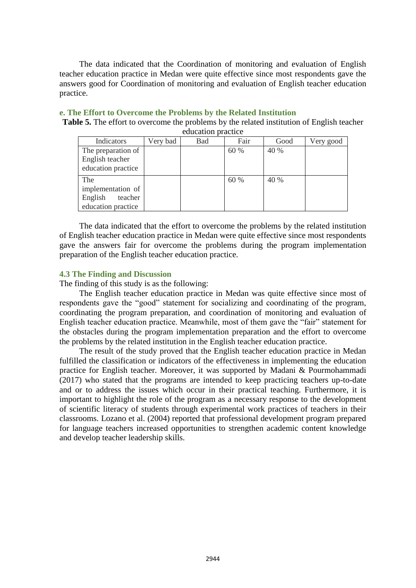The data indicated that the Coordination of monitoring and evaluation of English teacher education practice in Medan were quite effective since most respondents gave the answers good for Coordination of monitoring and evaluation of English teacher education practice.

# **e. The Effort to Overcome the Problems by the Related Institution**

**Table 5.** The effort to overcome the problems by the related institution of English teacher education practice

| Indicators         | Very bad | Bad | Fair | Good | Very good |
|--------------------|----------|-----|------|------|-----------|
| The preparation of |          |     | 60 % | 40 % |           |
| English teacher    |          |     |      |      |           |
| education practice |          |     |      |      |           |
| The                |          |     | 60 % | 40 % |           |
| implementation of  |          |     |      |      |           |
| English<br>teacher |          |     |      |      |           |
| education practice |          |     |      |      |           |

The data indicated that the effort to overcome the problems by the related institution of English teacher education practice in Medan were quite effective since most respondents gave the answers fair for overcome the problems during the program implementation preparation of the English teacher education practice.

# **4.3 The Finding and Discussion**

The finding of this study is as the following:

The English teacher education practice in Medan was quite effective since most of respondents gave the "good" statement for socializing and coordinating of the program, coordinating the program preparation, and coordination of monitoring and evaluation of English teacher education practice. Meanwhile, most of them gave the "fair" statement for the obstacles during the program implementation preparation and the effort to overcome the problems by the related institution in the English teacher education practice.

The result of the study proved that the English teacher education practice in Medan fulfilled the classification or indicators of the effectiveness in implementing the education practice for English teacher. Moreover, it was supported by Madani & Pourmohammadi (2017) who stated that the programs are intended to keep practicing teachers up-to-date and or to address the issues which occur in their practical teaching. Furthermore, it is important to highlight the role of the program as a necessary response to the development of scientific literacy of students through experimental work practices of teachers in their classrooms. Lozano et al. (2004) reported that professional development program prepared for language teachers increased opportunities to strengthen academic content knowledge and develop teacher leadership skills.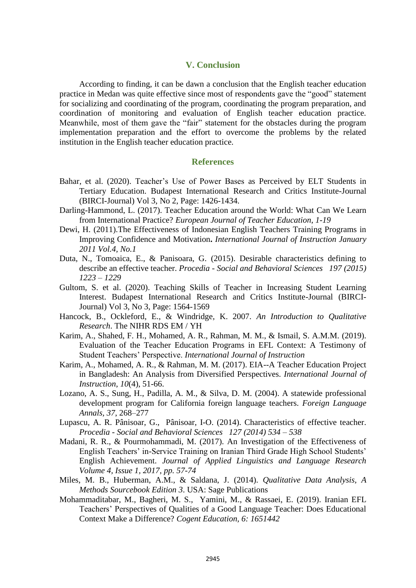# **V. Conclusion**

According to finding, it can be dawn a conclusion that the English teacher education practice in Medan was quite effective since most of respondents gave the "good" statement for socializing and coordinating of the program, coordinating the program preparation, and coordination of monitoring and evaluation of English teacher education practice. Meanwhile, most of them gave the "fair" statement for the obstacles during the program implementation preparation and the effort to overcome the problems by the related institution in the English teacher education practice.

#### **References**

- Bahar, et al. (2020). Teacher's Use of Power Bases as Perceived by ELT Students in Tertiary Education. Budapest International Research and Critics Institute-Journal (BIRCI-Journal) Vol 3, No 2, Page: 1426-1434.
- Darling-Hammond, L. (2017). Teacher Education around the World: What Can We Learn from International Practice? *European Journal of Teacher Education*, *1-19*
- Dewi, H. (2011).The Effectiveness of Indonesian English Teachers Training Programs in Improving Confidence and Motivation**.** *International Journal of Instruction January 2011 Vol.4, No.1*
- Duta, N., Tomoaica, E., & Panisoara, G. (2015). Desirable characteristics defining to describe an effective teacher. *Procedia - Social and Behavioral Sciences 197 (2015) 1223 – 1229*
- Gultom, S. et al. (2020). Teaching Skills of Teacher in Increasing Student Learning Interest. Budapest International Research and Critics Institute-Journal (BIRCI-Journal) Vol 3, No 3, Page: 1564-1569
- Hancock, B., Ockleford, E., & Windridge, K. 2007. *An Introduction to Qualitative Research*. The NIHR RDS EM / YH
- Karim, A., Shahed, F. H., Mohamed, A. R., Rahman, M. M., & Ismail, S. A.M.M. (2019). Evaluation of the Teacher Education Programs in EFL Context: A Testimony of Student Teachers' Perspective. *International Journal of Instruction*
- Karim, A., Mohamed, A. R., & Rahman, M. M. (2017). EIA--A Teacher Education Project in Bangladesh: An Analysis from Diversified Perspectives. *International Journal of Instruction*, *10*(4), 51-66.
- Lozano, A. S., Sung, H., Padilla, A. M., & Silva, D. M. (2004). A statewide professional development program for California foreign language teachers. *Foreign Language Annals, 37*, 268–277
- Lupascu, A. R. Pânisoar, G., Pânisoar, I-O. (2014). Characteristics of effective teacher. *Procedia - Social and Behavioral Sciences 127 (2014) 534 – 538*
- Madani, R. R., & Pourmohammadi, M. (2017). An Investigation of the Effectiveness of English Teachers' in-Service Training on Iranian Third Grade High School Students' English Achievement. *Journal of Applied Linguistics and Language Research Volume 4, Issue 1, 2017, pp. 57-74*
- Miles, M. B., Huberman, A.M., & Saldana, J. (2014). *Qualitative Data Analysis, A Methods Sourcebook Edition 3*. USA: Sage Publications
- Mohammaditabar, M., Bagheri, M. S., Yamini, M., & Rassaei, E. (2019). Iranian EFL Teachers' Perspectives of Qualities of a Good Language Teacher: Does Educational Context Make a Difference? *Cogent Education, 6: 1651442*